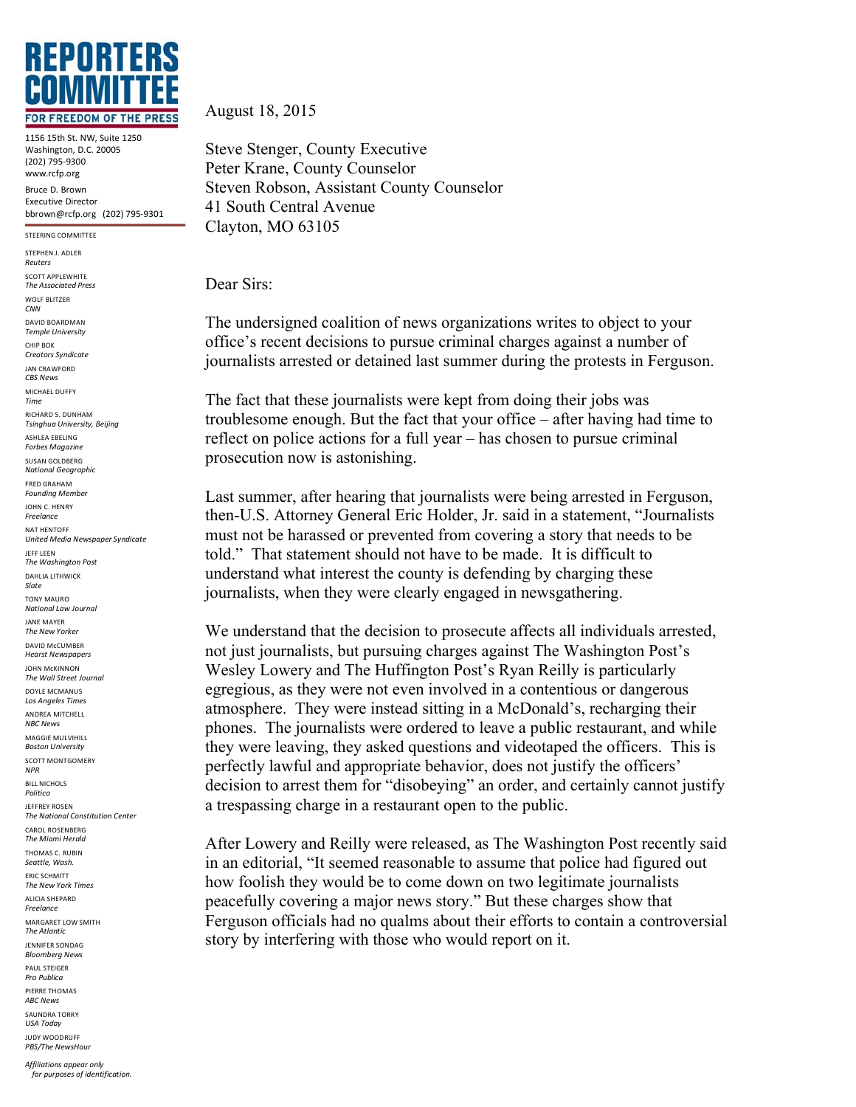

1156 15th St. NW, Suite 1250 Washington, D.C. 20005 (202)!795<9300 www.rcfp.org Bruce D. Brown Executive Director bbrown@rcfp.org (202) 795-9301

STEERING COMMITTEE STEPHEN | ADLER *Reuters* SCOTT APPLEWHITE *The'Associated'Press* WOLF BLITZER *CNN* DAVID!BOARDMAN *Temple'University* CHIP ROK *Creators'Syndicate* JAN!CRAWFORD *CBS'News* MICHAEL DUFFY *Time* RICHARD S. DUNHAM *Tsinghua'University,'Beijing* ASHLEA ERELING *Forbes'Magazine* SUSAN GOLDBERG *National'Geographic* FRED!GRAHAM *Founding'Member* JOHN C. HENRY *Freelance* NAT HENTOFF *United'Media'Newspaper'Syndicate* JEFF LEEN *The'Washington'Post* DAHLIA LITHWICK *Slate* **TONY MAURO** *National'Law'Journal* JANE!MAYER *The'New'Yorker* DAVID McCUMBFR *Hearst'Newspapers* JOHN!McKINNON *The'Wall'Street'Journal* DOYLE MCMANUS Los Angeles Times **ANDREA MITCHELL** *NBC'News* MAGGIE MULVIHILL *Boston'University* SCOTT MONTGOMERY *NPR* **BILL NICHOLS** *Politico* JEFFREY!ROSEN *The'National'Constitution'Center* CAROL ROSENBERG *The'Miami'Herald* THOMAS C. RUBIN *Seattle,'Wash.* ERIC!SCHMITT *The'New'York'Times* ALICIA SHEPARD *Freelance* MARGARET LOW SMITH *The'Atlantic* JENNIFER!SONDAG *Bloomberg'News* PAUL STEIGER *Pro'Publica* PIERRE THOMAS *ABC'News* SAUNDRA TORRY *USA'Today* JUDY!WOODRUFF *PBS/The'NewsHour*

August 18, 2015

Steve Stenger, County Executive Peter Krane, County Counselor Steven Robson, Assistant County Counselor 41 South Central Avenue Clayton, MO 63105

Dear Sirs:

The undersigned coalition of news organizations writes to object to your office's recent decisions to pursue criminal charges against a number of journalists arrested or detained last summer during the protests in Ferguson.

The fact that these journalists were kept from doing their jobs was troublesome enough. But the fact that your office – after having had time to reflect on police actions for a full year – has chosen to pursue criminal prosecution now is astonishing.

Last summer, after hearing that journalists were being arrested in Ferguson, then-U.S. Attorney General Eric Holder, Jr. said in a statement, "Journalists must not be harassed or prevented from covering a story that needs to be told." That statement should not have to be made. It is difficult to understand what interest the county is defending by charging these journalists, when they were clearly engaged in newsgathering.

We understand that the decision to prosecute affects all individuals arrested, not just journalists, but pursuing charges against The Washington Post's Wesley Lowery and The Huffington Post's Ryan Reilly is particularly egregious, as they were not even involved in a contentious or dangerous atmosphere. They were instead sitting in a McDonald's, recharging their phones. The journalists were ordered to leave a public restaurant, and while they were leaving, they asked questions and videotaped the officers. This is perfectly lawful and appropriate behavior, does not justify the officers' decision to arrest them for "disobeying" an order, and certainly cannot justify a trespassing charge in a restaurant open to the public.

After Lowery and Reilly were released, as The Washington Post recently said in an editorial, "It seemed reasonable to assume that police had figured out how foolish they would be to come down on two legitimate journalists peacefully covering a major news story." But these charges show that Ferguson officials had no qualms about their efforts to contain a controversial story by interfering with those who would report on it.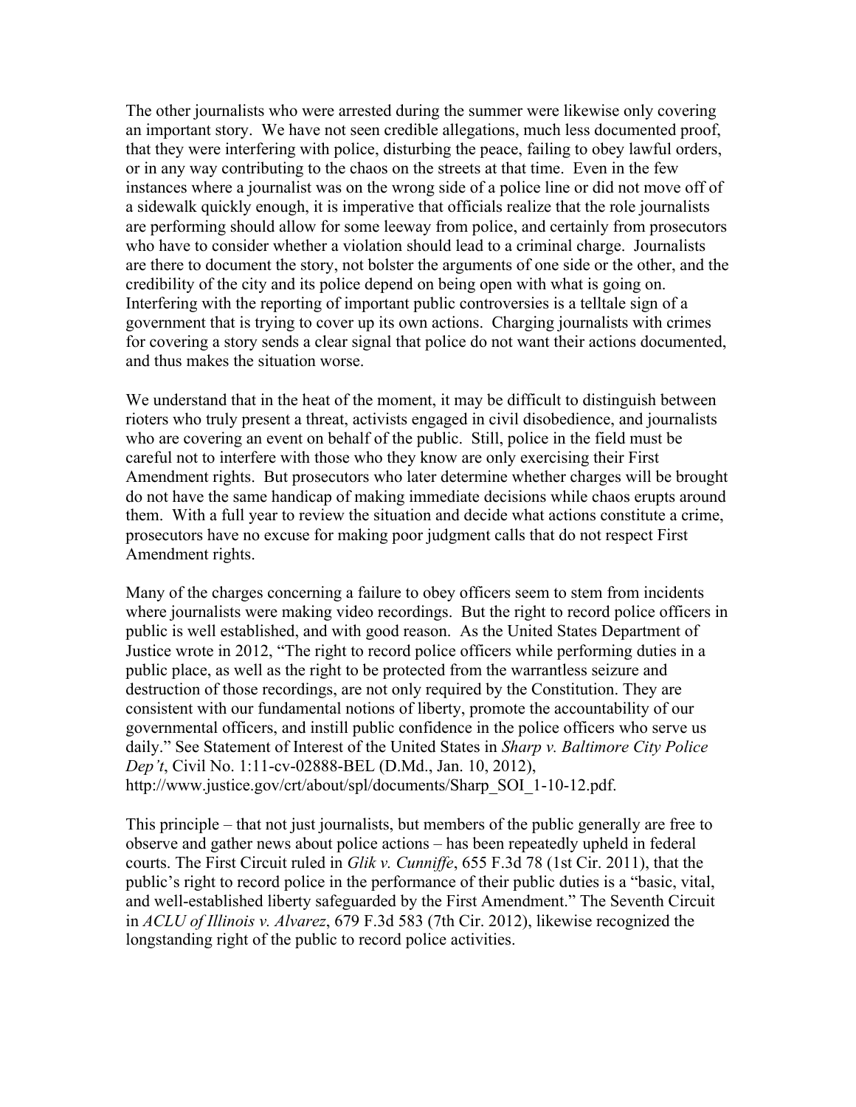The other journalists who were arrested during the summer were likewise only covering an important story. We have not seen credible allegations, much less documented proof, that they were interfering with police, disturbing the peace, failing to obey lawful orders, or in any way contributing to the chaos on the streets at that time. Even in the few instances where a journalist was on the wrong side of a police line or did not move off of a sidewalk quickly enough, it is imperative that officials realize that the role journalists are performing should allow for some leeway from police, and certainly from prosecutors who have to consider whether a violation should lead to a criminal charge. Journalists are there to document the story, not bolster the arguments of one side or the other, and the credibility of the city and its police depend on being open with what is going on. Interfering with the reporting of important public controversies is a telltale sign of a government that is trying to cover up its own actions. Charging journalists with crimes for covering a story sends a clear signal that police do not want their actions documented, and thus makes the situation worse.

We understand that in the heat of the moment, it may be difficult to distinguish between rioters who truly present a threat, activists engaged in civil disobedience, and journalists who are covering an event on behalf of the public. Still, police in the field must be careful not to interfere with those who they know are only exercising their First Amendment rights. But prosecutors who later determine whether charges will be brought do not have the same handicap of making immediate decisions while chaos erupts around them. With a full year to review the situation and decide what actions constitute a crime, prosecutors have no excuse for making poor judgment calls that do not respect First Amendment rights.

Many of the charges concerning a failure to obey officers seem to stem from incidents where journalists were making video recordings. But the right to record police officers in public is well established, and with good reason. As the United States Department of Justice wrote in 2012, "The right to record police officers while performing duties in a public place, as well as the right to be protected from the warrantless seizure and destruction of those recordings, are not only required by the Constitution. They are consistent with our fundamental notions of liberty, promote the accountability of our governmental officers, and instill public confidence in the police officers who serve us daily." See Statement of Interest of the United States in *Sharp v. Baltimore City Police Dep't*, Civil No. 1:11-cv-02888-BEL (D.Md., Jan. 10, 2012), http://www.justice.gov/crt/about/spl/documents/Sharp\_SOI\_1-10-12.pdf.

This principle – that not just journalists, but members of the public generally are free to observe and gather news about police actions – has been repeatedly upheld in federal courts. The First Circuit ruled in *Glik v. Cunniffe*, 655 F.3d 78 (1st Cir. 2011), that the public's right to record police in the performance of their public duties is a "basic, vital, and well-established liberty safeguarded by the First Amendment." The Seventh Circuit in *ACLU of Illinois v. Alvarez*, 679 F.3d 583 (7th Cir. 2012), likewise recognized the longstanding right of the public to record police activities.